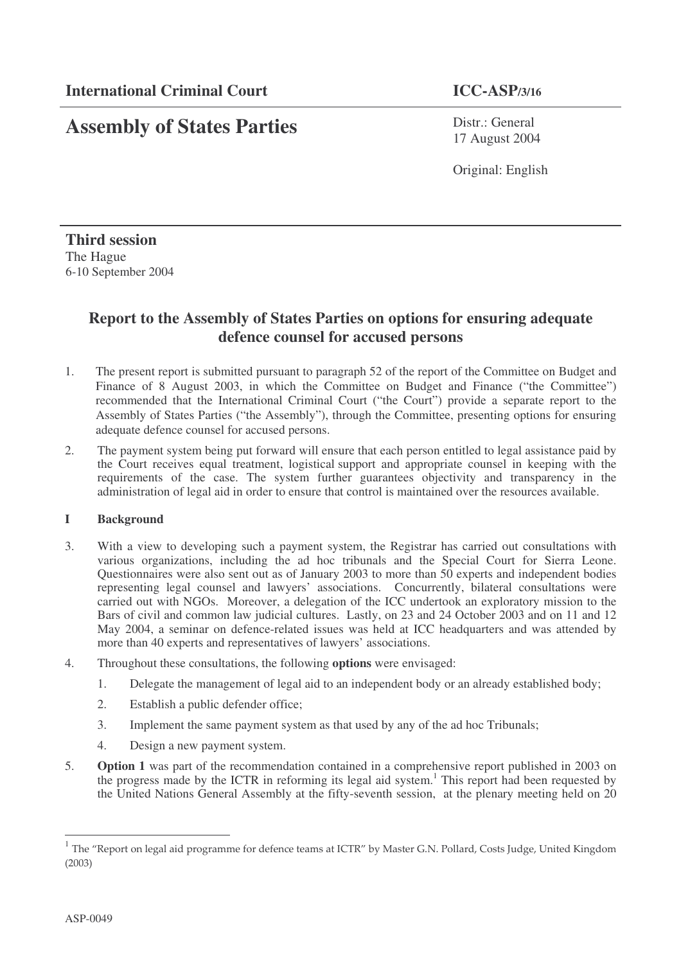# **Assembly of States Parties**

Distr.: General 17 August 2004

Original: English

**Third session** The Hague 6-10 September 2004

# **Report to the Assembly of States Parties on options for ensuring adequate defence counsel for accused persons**

- 1. The present report is submitted pursuant to paragraph 52 of the report of the Committee on Budget and Finance of 8 August 2003, in which the Committee on Budget and Finance ("the Committee") recommended that the International Criminal Court ("the Court") provide a separate report to the Assembly of States Parties ("the Assembly"), through the Committee, presenting options for ensuring adequate defence counsel for accused persons.
- 2. The payment system being put forward will ensure that each person entitled to legal assistance paid by the Court receives equal treatment, logistical support and appropriate counsel in keeping with the requirements of the case. The system further guarantees objectivity and transparency in the administration of legal aid in order to ensure that control is maintained over the resources available.

# **I Background**

- 3. With a view to developing such a payment system, the Registrar has carried out consultations with various organizations, including the ad hoc tribunals and the Special Court for Sierra Leone. Questionnaires were also sent out as of January 2003 to more than  $50$  experts and independent bodies representing legal counsel and lawyers' associations. Concurrently, bilateral consultations were carried out with NGOs. Moreover, a delegation of the ICC undertook an exploratory mission to the Bars of civil and common law judicial cultures. Lastly, on 23 and 24 October 2003 and on 11 and 12 May 2004, a seminar on defence-related issues was held at ICC headquarters and was attended by more than 40 experts and representatives of lawyers' associations.
- 4. Throughout these consultations, the following **options** were envisaged:
	- 1. Delegate the management of legal aid to an independent body or an already established body;
	- 2. Establish a public defender office;
	- 3. Implement the same payment system as that used by any of the ad hoc Tribunals;
	- 4. Design a new payment system.
- 5. **Option 1** was part of the recommendation contained in a comprehensive report published in 2003 on the progress made by the ICTR in reforming its legal aid system. <sup>1</sup> This report had been requested by the United Nations General Assembly at the fifty-seventh session, at the plenary meeting held on 20

<sup>&</sup>lt;sup>1</sup> The "Report on legal aid programme for defence teams at ICTR" by Master G.N. Pollard, Costs Judge, United Kingdon  $(2003)$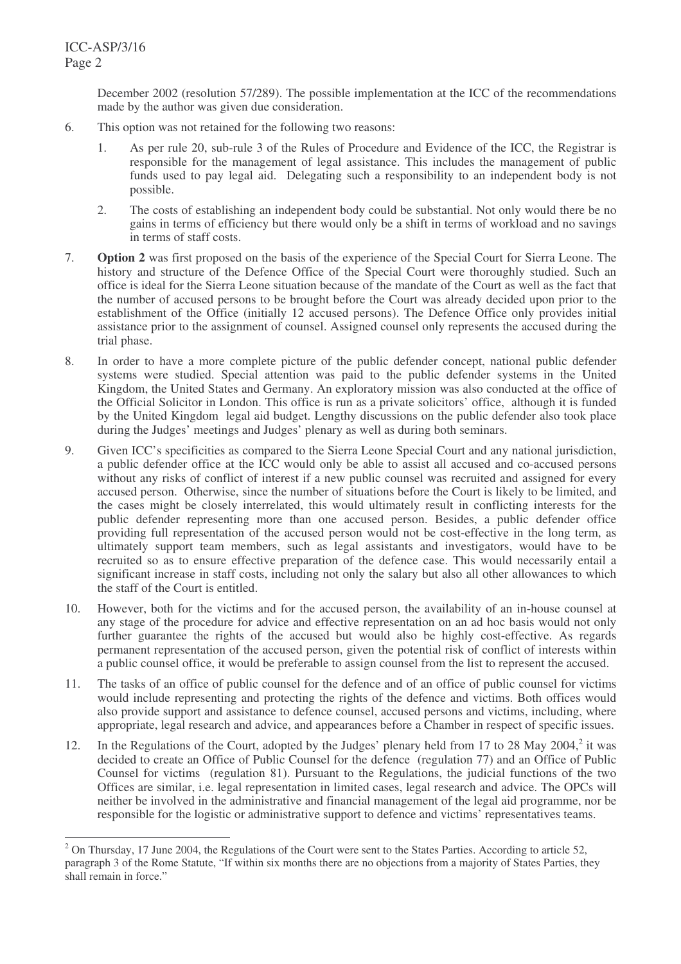December 2002 (resolution 57/289). The possible implementation at the ICC of the recommendations made by the author was given due consideration.

- 6. This option was not retained for the following two reasons:
	- 1. As per rule 20, sub-rule 3 of the Rules of Procedure and Evidence of the ICC, the Registrar is responsible for the management of legal assistance. This includes the management of public funds used to pay legal aid. Delegating such a responsibility to an independent body is not possible.
	- 2. The costs of establishing an independent body could be substantial. Not only would there be no gains in terms of efficiency but there would only be a shift in terms of workload and no savings in terms of staff costs.
- 7. **Option 2** was first proposed on the basis of the experience of the Special Court for Sierra Leone. The history and structure of the Defence Office of the Special Court were thoroughly studied. Such an office is ideal for the Sierra Leone situation because of the mandate of the Court as well as the fact that the number of accused persons to be brought before the Court was already decided upon prior to the establishment of the Office (initially 12 accused persons). The Defence Office only provides initial assistance prior to the assignment of counsel. Assigned counsel only represents the accused during the trial phase.
- 8. In order to have a more complete picture of the public defender concept, national public defender systems were studied. Special attention was paid to the public defender systems in the United Kingdom, the United States and Germany. An exploratory mission was also conducted at the office of the Official Solicitor in London. This office is run as a private solicitors' office, although it is funded by the United Kingdom legal aid budget. Lengthy discussions on the public defender also took place during the Judges' meetings and Judges' plenary as well as during both seminars.
- 9. Given ICC's specificities as compared to the Sierra Leone Special Court and any national jurisdiction, a public defender office at the ICC would only be able to assist all accused and co-accused persons without any risks of conflict of interest if a new public counsel was recruited and assigned for every accused person. Otherwise, since the number of situations before the Court is likely to be limited, and the cases might be closely interrelated, this would ultimately result in conflicting interests for the public defender representing more than one accused person. Besides, a public defender office providing full representation of the accused person would not be cost-effective in the long term, as ultimately support team members, such as legal assistants and investigators, would have to be recruited so as to ensure effective preparation of the defence case. This would necessarily entail a significant increase in staff costs, including not only the salary but also all other allowances to which the staff of the Court is entitled.
- 10. However, both for the victims and for the accused person, the availability of an in-house counsel at any stage of the procedure for advice and effective representation on an ad hoc basis would not only further guarantee the rights of the accused but would also be highly cost-effective. As regards permanent representation of the accused person, given the potential risk of conflict of interests within a public counsel office, it would be preferable to assign counsel from the list to represent the accused.
- 11. The tasks of an office of public counsel for the defence and of an office of public counsel for victims would include representing and protecting the rights of the defence and victims. Both offices would also provide support and assistance to defence counsel, accused persons and victims, including, where appropriate, legal research and advice, and appearances before a Chamber in respect of specific issues.
- 12. In the Regulations of the Court, adopted by the Judges' plenary held from 17 to 28 May 2004,<sup>2</sup> it was decided to create an Office of Public Counsel for the defence (regulation 77) and an Office of Public Counsel for victims (regulation 81). Pursuant to the Regulations, the judicial functions of the two Offices are similar, i.e. legal representation in limited cases, legal research and advice. The OPCs will neither be involved in the administrative and financial management of the legal aid programme, nor be responsible for the logistic or administrative support to defence and victims' representatives teams.

<sup>&</sup>lt;sup>2</sup> On Thursday, 17 June 2004, the Regulations of the Court were sent to the States Parties. According to article 52, paragraph 3 of the Rome Statute, "If within six months there are no objections from a majority of States Parties, they shall remain in force."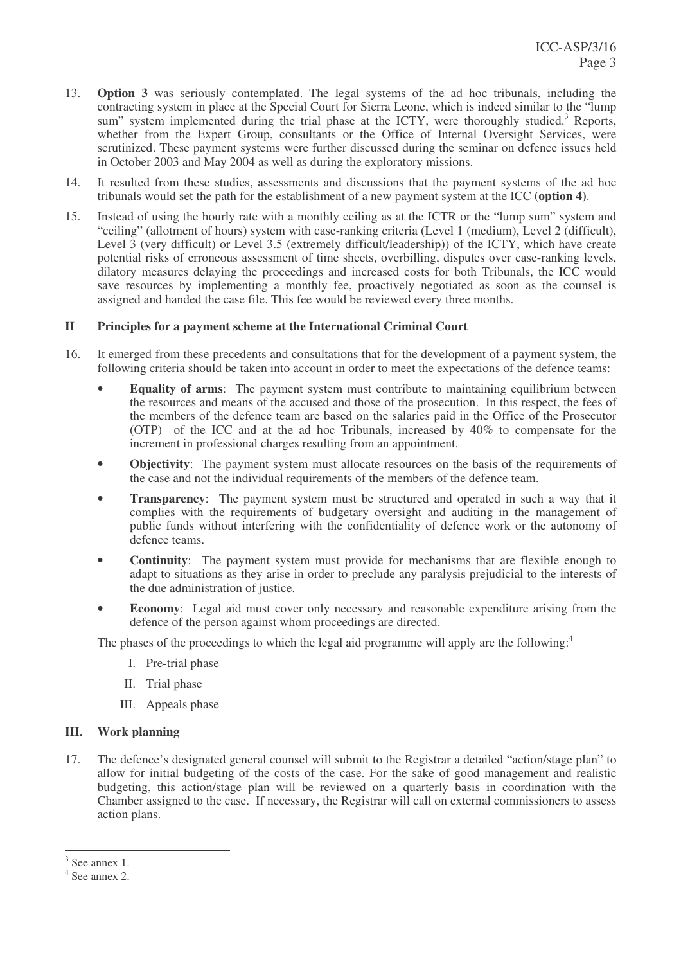- 13. **Option 3** was seriously contemplated. The legal systems of the ad hoc tribunals, including the contracting system in place at the Special Court for Sierra Leone, which is indeed similar to the "lump sum" system implemented during the trial phase at the ICTY, were thoroughly studied.<sup>3</sup> Reports, whether from the Expert Group, consultants or the Office of Internal Oversight Services, were scrutinized. These payment systems were further discussed during the seminar on defence issues held in October 2003 and May 2004 as well as during the exploratory missions.
- 14. It resulted from these studies, assessments and discussions that the payment systems of the ad hoc tribunals would set the path for the establishment of a new payment system at the ICC **(option 4)**.
- 15. Instead of using the hourly rate with a monthly ceiling as at the ICTR or the "lump sum" system and "ceiling" (allotment of hours) system with case-ranking criteria (Level 1 (medium), Level 2 (difficult), Level 3 (very difficult) or Level 3.5 (extremely difficult/leadership)) of the ICTY, which have create potential risks of erroneous assessment of time sheets, overbilling, disputes over case-ranking levels, dilatory measures delaying the proceedings and increased costs for both Tribunals, the ICC would save resources by implementing a monthly fee, proactively negotiated as soon as the counsel is assigned and handed the case file. This fee would be reviewed every three months.

### **II Principles for a payment scheme at the International Criminal Court**

- 16. It emerged from these precedents and consultations that for the development of a payment system, the following criteria should be taken into account in order to meet the expectations of the defence teams:
	- **Equality of arms**: The payment system must contribute to maintaining equilibrium between the resources and means of the accused and those of the prosecution. In this respect, the fees of the members of the defence team are based on the salaries paid in the Office of the Prosecutor (OTP) of the ICC and at the ad hoc Tribunals, increased by 40% to compensate for the increment in professional charges resulting from an appointment.
	- **Objectivity**: The payment system must allocate resources on the basis of the requirements of the case and not the individual requirements of the members of the defence team.
	- **Transparency**: The payment system must be structured and operated in such a way that it complies with the requirements of budgetary oversight and auditing in the management of public funds without interfering with the confidentiality of defence work or the autonomy of defence teams.
	- **Continuity**: The payment system must provide for mechanisms that are flexible enough to adapt to situations as they arise in order to preclude any paralysis prejudicial to the interests of the due administration of justice.
	- **Economy**: Legal aid must cover only necessary and reasonable expenditure arising from the defence of the person against whom proceedings are directed.

The phases of the proceedings to which the legal aid programme will apply are the following:<sup>4</sup>

- I. Pre-trial phase
- II. Trial phase
- III. Appeals phase

### **III. Work planning**

17. The defence's designated general counsel will submit to the Registrar a detailed "action/stage plan" to allow for initial budgeting of the costs of the case. For the sake of good management and realistic budgeting, this action/stage plan will be reviewed on a quarterly basis in coordination with the Chamber assigned to the case. If necessary, the Registrar will call on external commissioners to assess action plans.

<sup>3</sup> See annex 1.

<sup>4</sup> See annex 2.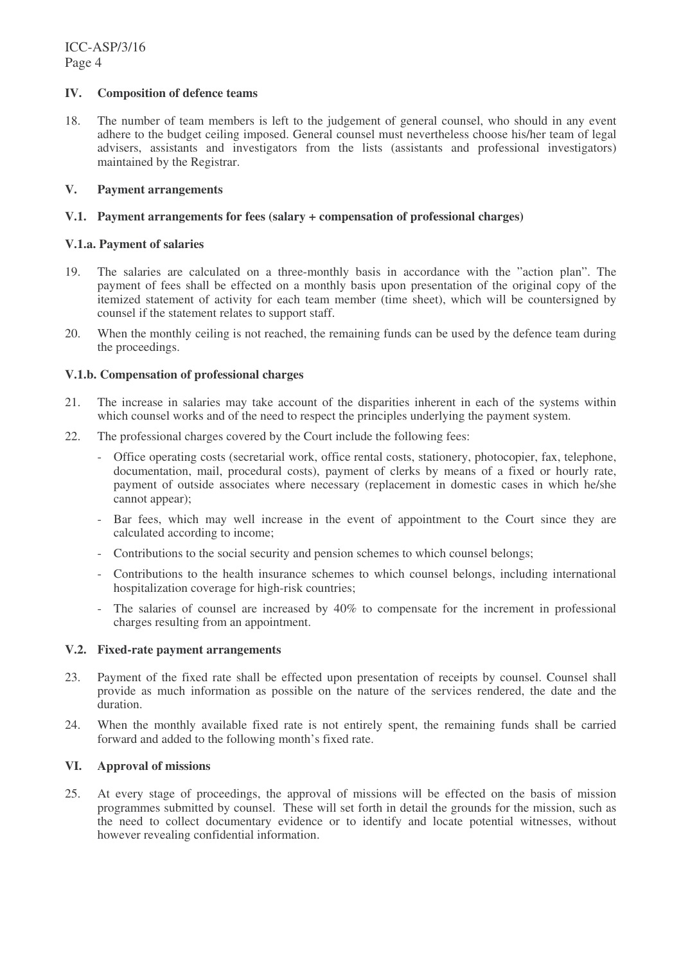### **IV. Composition of defence teams**

18. The number of team members is left to the judgement of general counsel, who should in any event adhere to the budget ceiling imposed. General counsel must nevertheless choose his/her team of legal advisers, assistants and investigators from the lists (assistants and professional investigators) maintained by the Registrar.

### **V. Payment arrangements**

### **V.1. Payment arrangements for fees (salary + compensation of professional charges)**

### **V.1.a. Payment of salaries**

- 19. The salaries are calculated on a three-monthly basis in accordance with the "action plan". The payment of fees shall be effected on a monthly basis upon presentation of the original copy of the itemized statement of activity for each team member (time sheet), which will be countersigned by counsel if the statement relates to support staff.
- 20. When the monthly ceiling is not reached, the remaining funds can be used by the defence team during the proceedings.

### **V.1.b. Compensation of professional charges**

- 21. The increase in salaries may take account of the disparities inherent in each of the systems within which counsel works and of the need to respect the principles underlying the payment system.
- 22. The professional charges covered by the Court include the following fees:
	- Office operating costs (secretarial work, office rental costs, stationery, photocopier, fax, telephone, documentation, mail, procedural costs), payment of clerks by means of a fixed or hourly rate, payment of outside associates where necessary (replacement in domestic cases in which he/she cannot appear);
	- Bar fees, which may well increase in the event of appointment to the Court since they are calculated according to income;
	- Contributions to the social security and pension schemes to which counsel belongs;
	- Contributions to the health insurance schemes to which counsel belongs, including international hospitalization coverage for high-risk countries;
	- The salaries of counsel are increased by 40% to compensate for the increment in professional charges resulting from an appointment.

### **V.2. Fixed-rate payment arrangements**

- 23. Payment of the fixed rate shall be effected upon presentation of receipts by counsel. Counsel shall provide as much information as possible on the nature of the services rendered, the date and the duration.
- 24. When the monthly available fixed rate is not entirely spent, the remaining funds shall be carried forward and added to the following month's fixed rate.

#### **VI. Approval of missions**

25. At every stage of proceedings, the approval of missions will be effected on the basis of mission programmes submitted by counsel. These will set forth in detail the grounds for the mission, such as the need to collect documentary evidence or to identify and locate potential witnesses, without however revealing confidential information.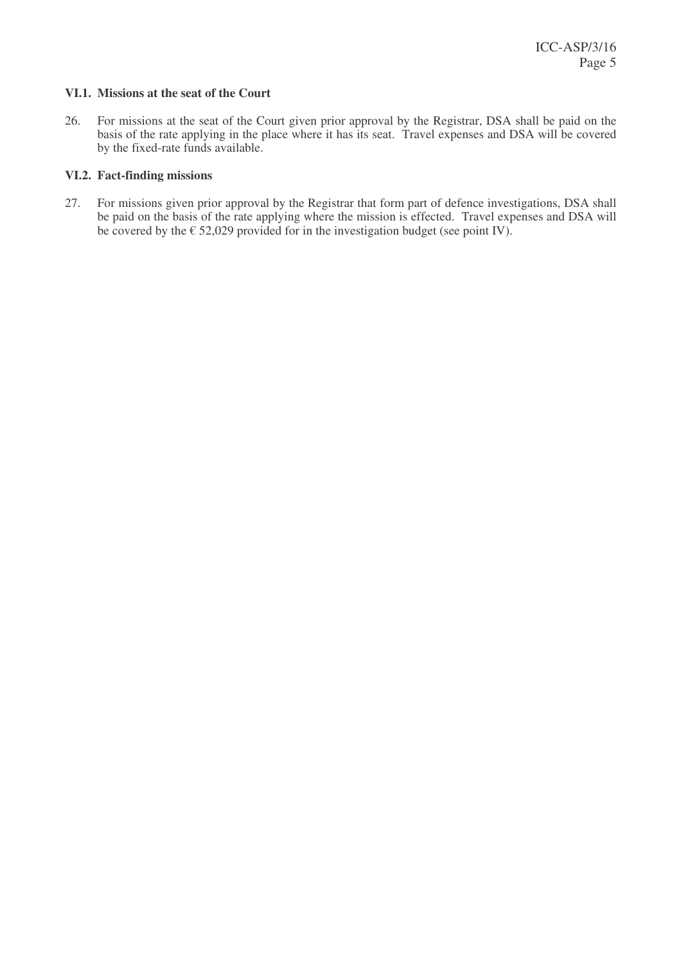### **VI.1. Missions at the seat of the Court**

26. For missions at the seat of the Court given prior approval by the Registrar, DSA shall be paid on the basis of the rate applying in the place where it has its seat. Travel expenses and DSA will be covered by the fixed-rate funds available.

# **VI.2. Fact-finding missions**

27. For missions given prior approval by the Registrar that form part of defence investigations, DSA shall be paid on the basis of the rate applying where the mission is effected. Travel expenses and DSA will be covered by the  $\epsilon$  52,029 provided for in the investigation budget (see point IV).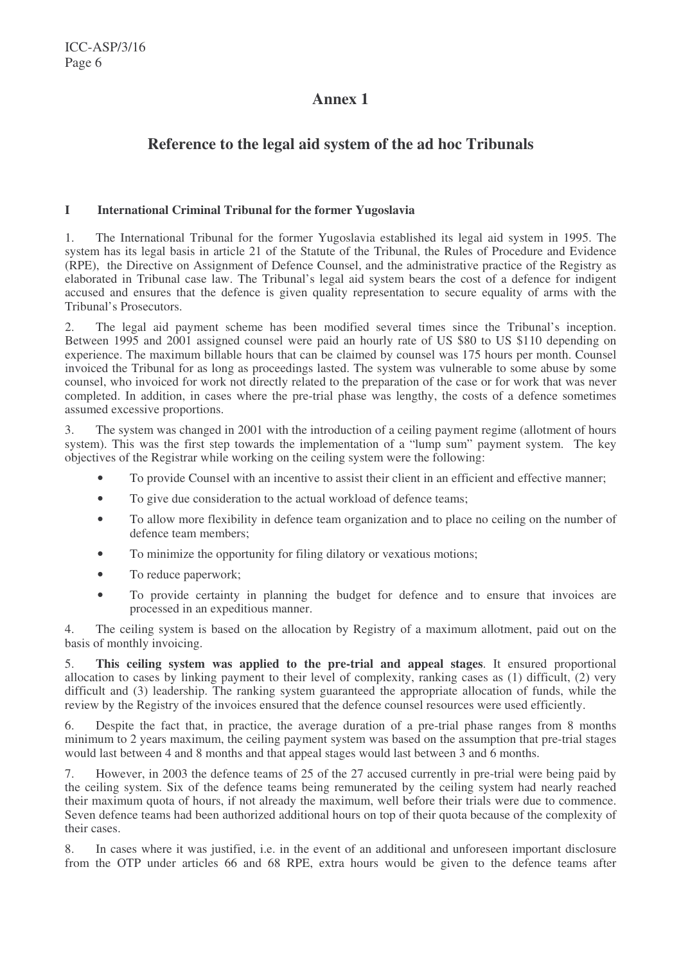# **Annex 1**

# **Reference to the legal aid system of the ad hoc Tribunals**

### **I International Criminal Tribunal for the former Yugoslavia**

1. The International Tribunal for the former Yugoslavia established its legal aid system in 1995. The system has its legal basis in article 21 of the Statute of the Tribunal, the Rules of Procedure and Evidence (RPE), the Directive on Assignment of Defence Counsel, and the administrative practice of the Registry as elaborated in Tribunal case law. The Tribunal's legal aid system bears the cost of a defence for indigent accused and ensures that the defence is given quality representation to secure equality of arms with the Tribunal's Prosecutors.

2. The legal aid payment scheme has been modified several times since the Tribunal's inception. Between 1995 and 2001 assigned counsel were paid an hourly rate of US \$80 to US \$110 depending on experience. The maximum billable hours that can be claimed by counsel was 175 hours per month. Counsel invoiced the Tribunal for as long as proceedings lasted. The system was vulnerable to some abuse by some counsel, who invoiced for work not directly related to the preparation of the case or for work that was never completed. In addition, in cases where the pre-trial phase was lengthy, the costs of a defence sometimes assumed excessive proportions.

3. The system was changed in 2001 with the introduction of a ceiling payment regime (allotment of hours system). This was the first step towards the implementation of a "lump sum" payment system. The key objectives of the Registrar while working on the ceiling system were the following:

- To provide Counsel with an incentive to assist their client in an efficient and effective manner;
- To give due consideration to the actual workload of defence teams;
- To allow more flexibility in defence team organization and to place no ceiling on the number of defence team members;
- To minimize the opportunity for filing dilatory or vexatious motions;
- To reduce paperwork;
- To provide certainty in planning the budget for defence and to ensure that invoices are processed in an expeditious manner.

4. The ceiling system is based on the allocation by Registry of a maximum allotment, paid out on the basis of monthly invoicing.

5. **This ceiling system was applied to the pre-trial and appeal stages**. It ensured proportional allocation to cases by linking payment to their level of complexity, ranking cases as (1) difficult, (2) very difficult and (3) leadership. The ranking system guaranteed the appropriate allocation of funds, while the review by the Registry of the invoices ensured that the defence counsel resources were used efficiently.

6. Despite the fact that, in practice, the average duration of a pre-trial phase ranges from 8 months minimum to 2 years maximum, the ceiling payment system was based on the assumption that pre-trial stages would last between 4 and 8 months and that appeal stages would last between 3 and 6 months.

7. However, in 2003 the defence teams of 25 of the 27 accused currently in pre-trial were being paid by the ceiling system. Six of the defence teams being remunerated by the ceiling system had nearly reached their maximum quota of hours, if not already the maximum, well before their trials were due to commence. Seven defence teams had been authorized additional hours on top of their quota because of the complexity of their cases.

8. In cases where it was justified, i.e. in the event of an additional and unforeseen important disclosure from the OTP under articles 66 and 68 RPE, extra hours would be given to the defence teams after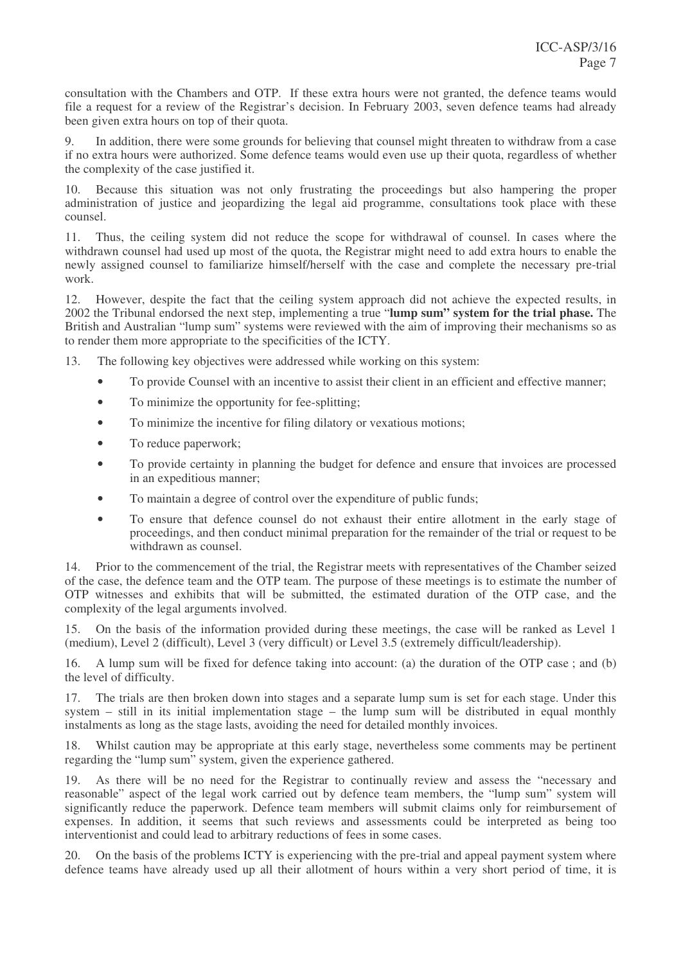consultation with the Chambers and OTP. If these extra hours were not granted, the defence teams would file a request for a review of the Registrar's decision. In February 2003, seven defence teams had already been given extra hours on top of their quota.

9. In addition, there were some grounds for believing that counsel might threaten to withdraw from a case if no extra hours were authorized. Some defence teams would even use up their quota, regardless of whether the complexity of the case justified it.

10. Because this situation was not only frustrating the proceedings but also hampering the proper administration of justice and jeopardizing the legal aid programme, consultations took place with these counsel.

11. Thus, the ceiling system did not reduce the scope for withdrawal of counsel. In cases where the withdrawn counsel had used up most of the quota, the Registrar might need to add extra hours to enable the newly assigned counsel to familiarize himself/herself with the case and complete the necessary pre-trial work.

12. However, despite the fact that the ceiling system approach did not achieve the expected results, in 2002 the Tribunal endorsed the next step, implementing a true "**lump sum" system for the trial phase.** The British and Australian "lump sum" systems were reviewed with the aim of improving their mechanisms so as to render them more appropriate to the specificities of the ICTY.

13. The following key objectives were addressed while working on this system:

- To provide Counsel with an incentive to assist their client in an efficient and effective manner;
- To minimize the opportunity for fee-splitting;
- To minimize the incentive for filing dilatory or vexatious motions;
- To reduce paperwork;
- To provide certainty in planning the budget for defence and ensure that invoices are processed in an expeditious manner;
- To maintain a degree of control over the expenditure of public funds;
- To ensure that defence counsel do not exhaust their entire allotment in the early stage of proceedings, and then conduct minimal preparation for the remainder of the trial or request to be withdrawn as counsel.

14. Prior to the commencement of the trial, the Registrar meets with representatives of the Chamber seized of the case, the defence team and the OTP team. The purpose of these meetings is to estimate the number of OTP witnesses and exhibits that will be submitted, the estimated duration of the OTP case, and the complexity of the legal arguments involved.

15. On the basis of the information provided during these meetings, the case will be ranked as Level 1 (medium), Level 2 (difficult), Level 3 (very difficult) or Level 3.5 (extremely difficult/leadership).

16. A lump sum will be fixed for defence taking into account: (a) the duration of the OTP case ; and (b) the level of difficulty.

17. The trials are then broken down into stages and a separate lump sum is set for each stage. Under this system – still in its initial implementation stage – the lump sum will be distributed in equal monthly instalments as long as the stage lasts, avoiding the need for detailed monthly invoices.

18. Whilst caution may be appropriate at this early stage, nevertheless some comments may be pertinent regarding the "lump sum" system, given the experience gathered.

19. As there will be no need for the Registrar to continually review and assess the "necessary and reasonable" aspect of the legal work carried out by defence team members, the "lump sum" system will significantly reduce the paperwork. Defence team members will submit claims only for reimbursement of expenses. In addition, it seems that such reviews and assessments could be interpreted as being too interventionist and could lead to arbitrary reductions of fees in some cases.

20. On the basis of the problems ICTY is experiencing with the pre-trial and appeal payment system where defence teams have already used up all their allotment of hours within a very short period of time, it is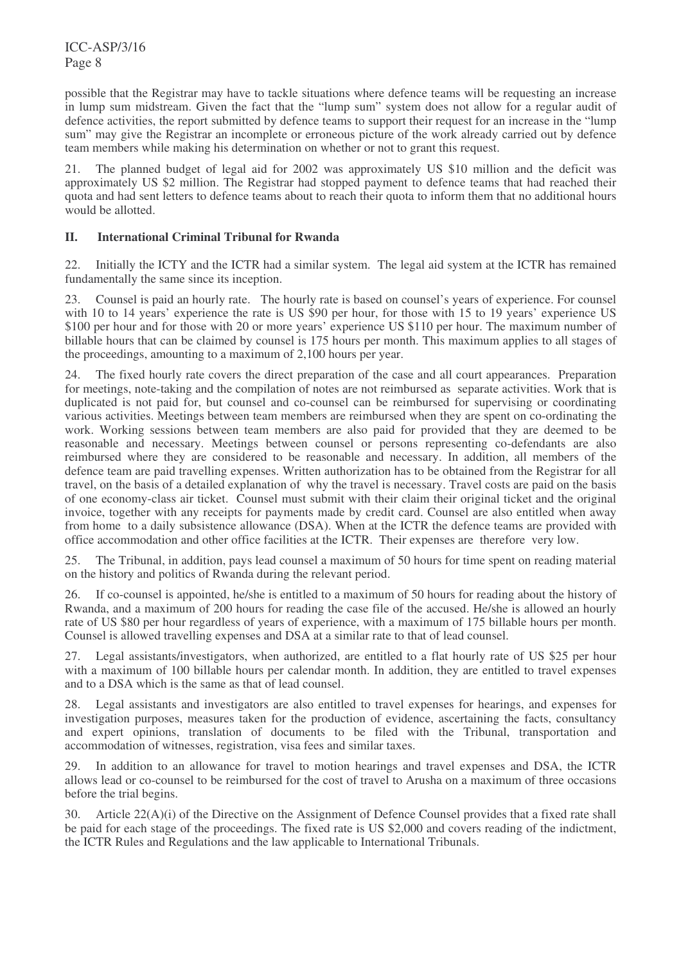ICC-ASP/3/16 Page 8

possible that the Registrar may have to tackle situations where defence teams will be requesting an increase in lump sum midstream. Given the fact that the "lump sum" system does not allow for a regular audit of defence activities, the report submitted by defence teams to support their request for an increase in the "lump sum" may give the Registrar an incomplete or erroneous picture of the work already carried out by defence team members while making his determination on whether or not to grant this request.

21. The planned budget of legal aid for 2002 was approximately US \$10 million and the deficit was approximately US \$2 million. The Registrar had stopped payment to defence teams that had reached their quota and had sent letters to defence teams about to reach their quota to inform them that no additional hours would be allotted.

# **II. International Criminal Tribunal for Rwanda**

22. Initially the ICTY and the ICTR had a similar system. The legal aid system at the ICTR has remained fundamentally the same since its inception.

23. Counsel is paid an hourly rate. The hourly rate is based on counsel's years of experience. For counsel with 10 to 14 years' experience the rate is US \$90 per hour, for those with 15 to 19 years' experience US \$100 per hour and for those with 20 or more years' experience US \$110 per hour. The maximum number of billable hours that can be claimed by counsel is 175 hours per month. This maximum applies to all stages of the proceedings, amounting to a maximum of 2,100 hours per year.

24. The fixed hourly rate covers the direct preparation of the case and all court appearances. Preparation for meetings, note-taking and the compilation of notes are not reimbursed as separate activities. Work that is duplicated is not paid for, but counsel and co-counsel can be reimbursed for supervising or coordinating various activities. Meetings between team members are reimbursed when they are spent on co-ordinating the work. Working sessions between team members are also paid for provided that they are deemed to be reasonable and necessary. Meetings between counsel or persons representing co-defendants are also reimbursed where they are considered to be reasonable and necessary. In addition, all members of the defence team are paid travelling expenses. Written authorization has to be obtained from the Registrar for all travel, on the basis of a detailed explanation of why the travel is necessary. Travel costs are paid on the basis of one economy-class air ticket. Counsel must submit with their claim their original ticket and the original invoice, together with any receipts for payments made by credit card. Counsel are also entitled when away from home to a daily subsistence allowance (DSA). When at the ICTR the defence teams are provided with office accommodation and other office facilities at the ICTR. Their expenses are therefore very low.

25. The Tribunal, in addition, pays lead counsel a maximum of 50 hours for time spent on reading material on the history and politics of Rwanda during the relevant period.

26. If co-counsel is appointed, he/she is entitled to a maximum of 50 hours for reading about the history of Rwanda, and a maximum of 200 hours for reading the case file of the accused. He/she is allowed an hourly rate of US \$80 per hour regardless of years of experience, with a maximum of 175 billable hours per month. Counsel is allowed travelling expenses and DSA at a similar rate to that of lead counsel.

27. Legal assistants/investigators, when authorized, are entitled to a flat hourly rate of US \$25 per hour with a maximum of 100 billable hours per calendar month. In addition, they are entitled to travel expenses and to a DSA which is the same as that of lead counsel.

28. Legal assistants and investigators are also entitled to travel expenses for hearings, and expenses for investigation purposes, measures taken for the production of evidence, ascertaining the facts, consultancy and expert opinions, translation of documents to be filed with the Tribunal, transportation and accommodation of witnesses, registration, visa fees and similar taxes.

29. In addition to an allowance for travel to motion hearings and travel expenses and DSA, the ICTR allows lead or co-counsel to be reimbursed for the cost of travel to Arusha on a maximum of three occasions before the trial begins.

30. Article 22(A)(i) of the Directive on the Assignment of Defence Counsel provides that a fixed rate shall be paid for each stage of the proceedings. The fixed rate is US \$2,000 and covers reading of the indictment, the ICTR Rules and Regulations and the law applicable to International Tribunals.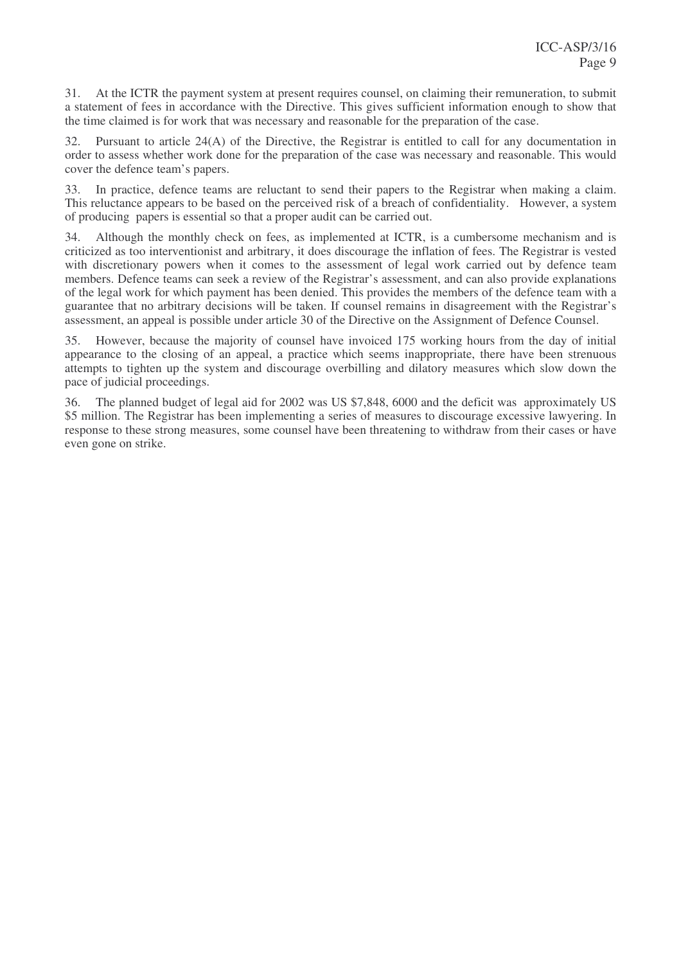31. At the ICTR the payment system at present requires counsel, on claiming their remuneration, to submit a statement of fees in accordance with the Directive. This gives sufficient information enough to show that the time claimed is for work that was necessary and reasonable for the preparation of the case.

32. Pursuant to article 24(A) of the Directive, the Registrar is entitled to call for any documentation in order to assess whether work done for the preparation of the case was necessary and reasonable. This would cover the defence team's papers.

33. In practice, defence teams are reluctant to send their papers to the Registrar when making a claim. This reluctance appears to be based on the perceived risk of a breach of confidentiality. However, a system of producing papers is essential so that a proper audit can be carried out.

34. Although the monthly check on fees, as implemented at ICTR, is a cumbersome mechanism and is criticized as too interventionist and arbitrary, it does discourage the inflation of fees. The Registrar is vested with discretionary powers when it comes to the assessment of legal work carried out by defence team members. Defence teams can seek a review of the Registrar's assessment, and can also provide explanations of the legal work for which payment has been denied. This provides the members of the defence team with a guarantee that no arbitrary decisions will be taken. If counsel remains in disagreement with the Registrar's assessment, an appeal is possible under article 30 of the Directive on the Assignment of Defence Counsel.

35. However, because the majority of counsel have invoiced 175 working hours from the day of initial appearance to the closing of an appeal, a practice which seems inappropriate, there have been strenuous attempts to tighten up the system and discourage overbilling and dilatory measures which slow down the pace of judicial proceedings.

36. The planned budget of legal aid for 2002 was US \$7,848, 6000 and the deficit was approximately US \$5 million. The Registrar has been implementing a series of measures to discourage excessive lawyering. In response to these strong measures, some counsel have been threatening to withdraw from their cases or have even gone on strike.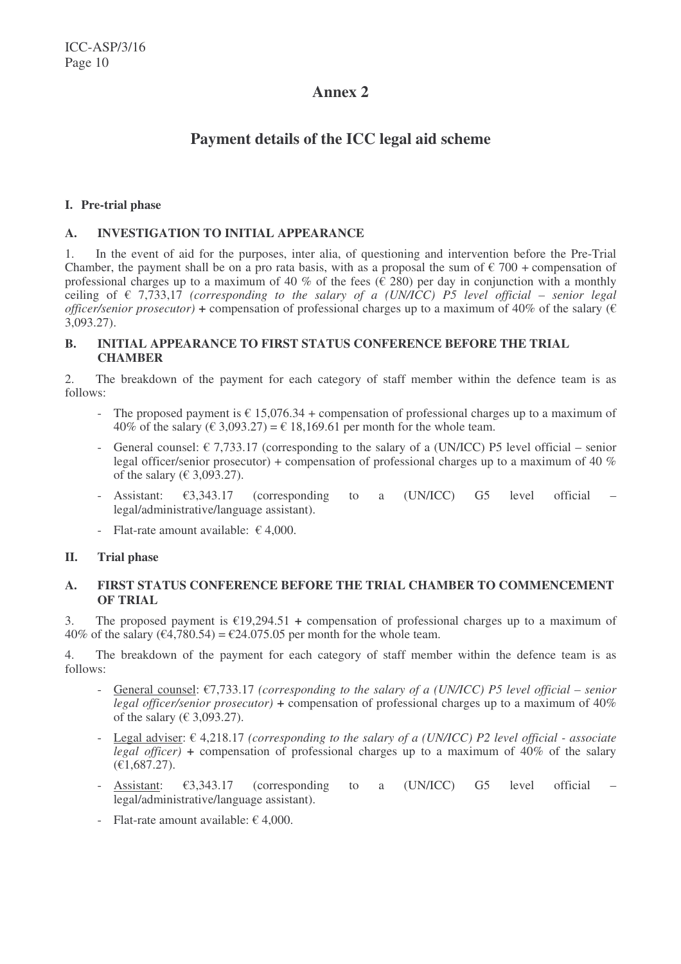# **Annex 2**

# **Payment details of the ICC legal aid scheme**

### **I. Pre-trial phase**

# **A. INVESTIGATION TO INITIAL APPEARANCE**

1. In the event of aid for the purposes, inter alia, of questioning and intervention before the Pre-Trial Chamber, the payment shall be on a pro rata basis, with as a proposal the sum of  $\epsilon$  700 + compensation of professional charges up to a maximum of 40 % of the fees ( $\hat{\epsilon}$  280) per day in conjunction with a monthly ceiling of  $\epsilon$  7,733,17 *(corresponding to the salary of a <i>(UN/ICC) P5 level official* – *senior legal officer/senior prosecutor*) + compensation of professional charges up to a maximum of 40% of the salary ( $\epsilon$ ) 3,093.27).

# **B. INITIAL APPEARANCE TO FIRST STATUS CONFERENCE BEFORE THE TRIAL CHAMBER**

2. The breakdown of the payment for each category of staff member within the defence team is as follows:

- The proposed payment is  $\epsilon$  15,076.34 + compensation of professional charges up to a maximum of 40% of the salary ( $\in$  3,093.27) =  $\in$  18,169.61 per month for the whole team.
- General counsel:  $\epsilon$  7,733.17 (corresponding to the salary of a (UN/ICC) P5 level official senior legal officer/senior prosecutor) + compensation of professional charges up to a maximum of 40 % of the salary ( $\in$  3,093.27).
- Assistant:  $\epsilon$ 3.343.17 (corresponding to a (UN/ICC) G5 level official legal/administrative/language assistant).
- Flat-rate amount available:  $\epsilon$  4,000.

### **II. Trial phase**

# **A. FIRST STATUS CONFERENCE BEFORE THE TRIAL CHAMBER TO COMMENCEMENT OF TRIAL**

3. The proposed payment is €19,294.51 *+* compensation of professional charges up to a maximum of 40% of the salary ( $\epsilon$ 4,780.54) =  $\epsilon$ 24.075.05 per month for the whole team.

4. The breakdown of the payment for each category of staff member within the defence team is as follows:

- General counsel: €7,733.17 *(corresponding to the salary of a (UN/ICC) P5 level official – senior legal officer/senior prosecutor) +* compensation of professional charges up to a maximum of 40% of the salary ( $\in$  3,093.27).
- Legal adviser: € 4,218.17 *(corresponding to the salary of a (UN/ICC) P2 level official - associate legal officer) +* compensation of professional charges up to a maximum of 40% of the salary (€1,687.27).
- Assistant:  $\epsilon$ 3,343.17 (corresponding to a (UN/ICC) G5 level official legal/administrative/language assistant).
- Flat-rate amount available:  $\epsilon$  4,000.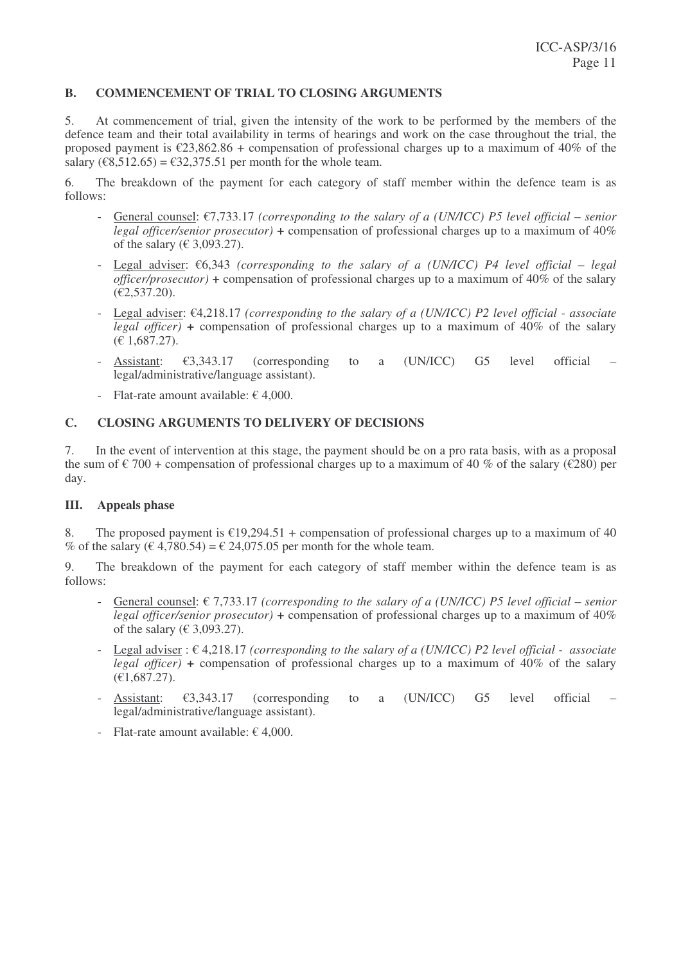### **B. COMMENCEMENT OF TRIAL TO CLOSING ARGUMENTS**

5. At commencement of trial, given the intensity of the work to be performed by the members of the defence team and their total availability in terms of hearings and work on the case throughout the trial, the proposed payment is  $\epsilon$ 23,862.86 + compensation of professional charges up to a maximum of 40% of the salary ( $\epsilon$ 8,512.65) =  $\epsilon$ 32,375.51 per month for the whole team.

6. The breakdown of the payment for each category of staff member within the defence team is as follows:

- General counsel: €7,733.17 *(corresponding to the salary of a (UN/ICC) P5 level official – senior legal officer/senior prosecutor) +* compensation of professional charges up to a maximum of 40% of the salary ( $\in$  3,093.27).
- Legal adviser: €6,343 *(corresponding to the salary of a (UN/ICC) P4 level official – legal officer/prosecutor) +* compensation of professional charges up to a maximum of 40% of the salary (€2,537.20).
- Legal adviser: €4,218.17 *(corresponding to the salary of a (UN/ICC) P2 level official - associate legal officer) +* compensation of professional charges up to a maximum of 40% of the salary (€ 1,687.27).
- Assistant:  $\epsilon$ 3.343.17 (corresponding to a (UN/ICC) G5 level official legal/administrative/language assistant).
- Flat-rate amount available:  $\epsilon$  4,000.

# **C. CLOSING ARGUMENTS TO DELIVERY OF DECISIONS**

7. In the event of intervention at this stage, the payment should be on a pro rata basis, with as a proposal the sum of  $\epsilon$  700 + compensation of professional charges up to a maximum of 40 % of the salary ( $\epsilon$ 280) per day.

### **III. Appeals phase**

8. The proposed payment is  $\epsilon$ 19,294.51 + compensation of professional charges up to a maximum of 40 % of the salary ( $\epsilon$  4,780.54) =  $\epsilon$  24,075.05 per month for the whole team.

9. The breakdown of the payment for each category of staff member within the defence team is as follows:

- General counsel: € 7,733.17 *(corresponding to the salary of a (UN/ICC) P5 level official – senior legal officer/senior prosecutor) +* compensation of professional charges up to a maximum of 40% of the salary ( $\in$  3,093.27).
- Legal adviser : € 4,218.17 *(corresponding to the salary of a (UN/ICC) P2 level official - associate legal officer) +* compensation of professional charges up to a maximum of 40% of the salary  $(E1,687.27)$ .
- Assistant:  $\epsilon$ 3,343.17 (corresponding to a (UN/ICC) G5 level official legal/administrative/language assistant).
- Flat-rate amount available:  $\epsilon$  4,000.